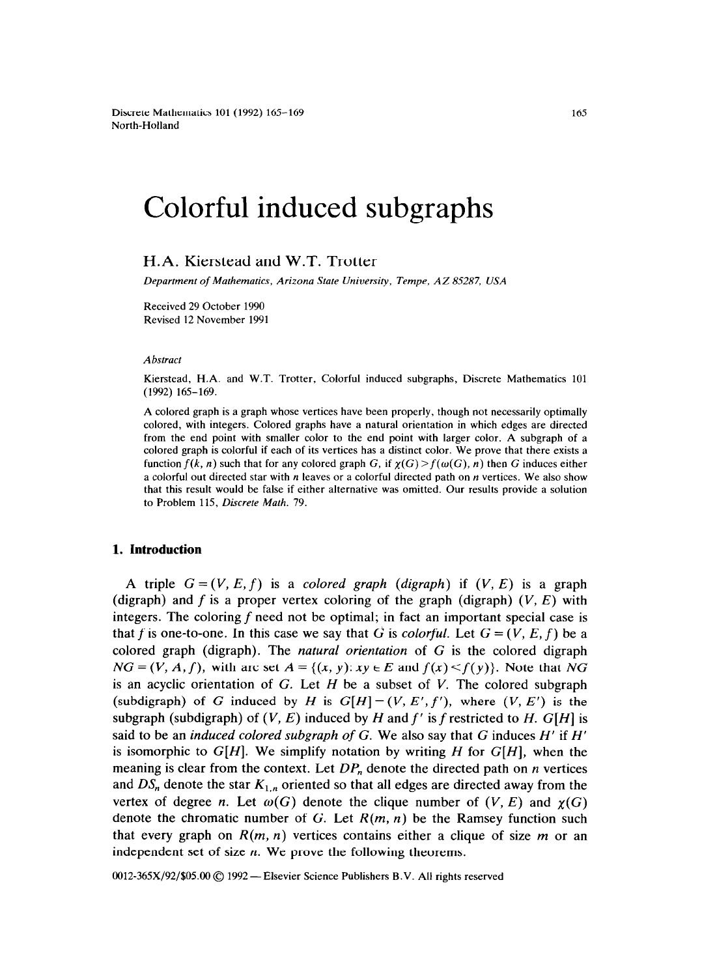Discrete Mathematics 101 (1992) 165-169 North-Holland

## Colorful induced subgraphs

H.A. Kierstead and W.T. Trotter

*Department of Mathematics, Arizona State University, Tempe, AZ 85287, USA* 

Received 29 October 1990 Revised 12 November 1991

*Abstract* 

Kierstead, H.A. and W.T. Trotter. Colorful induced subgraphs, Discrete Mathematics 101 (1992) 165-169.

A colored graph is a graph whose vertices have been properly, though not necessarily optimally colored, with integers. Colored graphs have a natural orientation in which edges are directed from the end point with smaller color to the end point with larger color. A subgraph of a colored graph is colorful if each of its vertices has a distinct color. We prove that there exists a function  $f(k, n)$  such that for any colored graph G, if  $\chi(G) > f(\omega(G), n)$  then G induces either a colorful out directed star with  $n$  leaves or a colorful directed path on  $n$  vertices. We also show that this result would be false if either alternative was omitted. **Our** results provide a solution to Problem 115. *Discrete Math. 79.* 

## **1. Introduction**

A triple  $G = (V, E, f)$  is a *colored graph (digraph)* if  $(V, E)$  is a graph (digraph) and f is a proper vertex coloring of the graph (digraph)  $(V, E)$  with integers. The coloring  $f$  need not be optimal; in fact an important special case is that f is one-to-one. In this case we say that G is *colorful*. Let  $G = (V, E, f)$  be a colored graph (digraph). The *natural orientation* of G is the colored digraph  $NG = (V, A, f)$ , with arc set  $A = \{(x, y): xy \in E \text{ and } f(x) \leq f(y)\}$ . Note that NG is an acyclic orientation of G. Let H be a subset of *V.* The colored subgraph (subdigraph) of G induced by H is  $G[H] = (V, E', f')$ , where  $(V, E')$  is the subgraph (subdigraph) of  $(V, E)$  induced by *H* and  $f'$  is *f* restricted to *H*. G[*H*] is said to be an *induced colored subgraph of G.* We also say that G induces *H'* if *H'*  is isomorphic to *G[H].* We simplify notation by writing *H* for *G[H],* when the meaning is clear from the context. Let  $DP_n$  denote the directed path on *n* vertices and  $DS_n$  denote the star  $K_{1,n}$  oriented so that all edges are directed away from the vertex of degree n. Let  $\omega(G)$  denote the clique number of  $(V, E)$  and  $\chi(G)$ denote the chromatic number of G. Let *R(m, n)* be the Ramsey function such that every graph on  $R(m, n)$  vertices contains either a clique of size m or an independent set of size *n.* We prove the following theorems.

 $0012-365X/92/$05.00$   $\odot$  1992 - Elsevier Science Publishers B.V. All rights reserved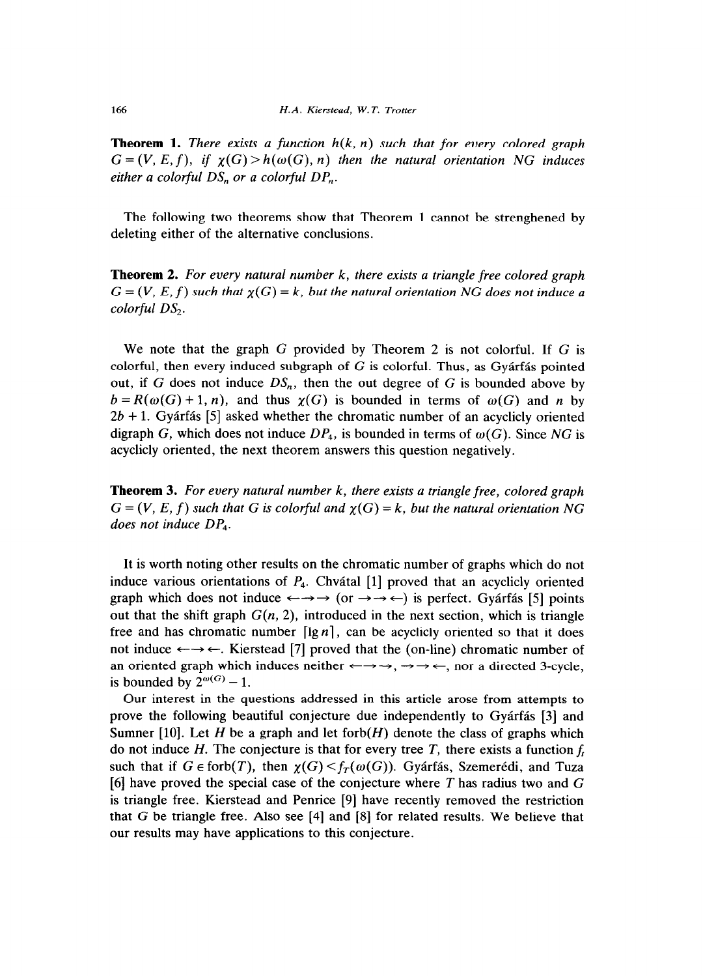**Theorem 1.** *There exists a function*  $h(k, n)$  *such that for every colored graph*  $G = (V, E, f)$ , if  $\chi(G) > h(\omega(G), n)$  then the natural orientation NG induces *either a colorful OS,, or a colorful DP,,.* 

The following two theorems show that Theorem 1 cannot be strenghened by deleting either of the alternative conclusions.

**Theorem 2.** *For every natural number k, there exists a triangle free colored graph*   $G = (V, E, f)$  such that  $\chi(G) = k$ , but the natural orientation NG does not induce a *colorful OS,.* 

We note that the graph  $G$  provided by Theorem 2 is not colorful. If  $G$  is colorful, then every induced subgraph of  $G$  is colorful. Thus, as Gyárfás pointed out, if G does not induce  $DS_n$ , then the out degree of G is bounded above by  $b = R(\omega(G) + 1, n)$ , and thus  $\chi(G)$  is bounded in terms of  $\omega(G)$  and *n* by *2b +* 1. Gyarfas [5] asked whether the chromatic number of an acyclicly oriented digraph G, which does not induce  $DP_4$ , is bounded in terms of  $\omega(G)$ . Since NG is acyclicly oriented, the next theorem answers this question negatively.

**Theorem 3.** *For every natural number k, there exists a triangle free, colored graph*   $G = (V, E, f)$  such that G is colorful and  $\chi(G) = k$ , but the natural orientation NG *does not induce DP,.* 

It is worth noting other results on the chromatic number of graphs which do not induce various orientations of  $P_4$ . Chvátal [1] proved that an acyclicly oriented graph which does not induce  $\leftarrow \rightarrow \rightarrow$  (or  $\rightarrow \rightarrow \leftarrow$ ) is perfect. Gyárfás [5] points out that the shift graph  $G(n, 2)$ , introduced in the next section, which is triangle free and has chromatic number  $\lceil \lg n \rceil$ , can be acyclicly oriented so that it does not induce  $\leftarrow \rightarrow \leftarrow$ . Kierstead [7] proved that the (on-line) chromatic number of an oriented graph which induces neither  $\leftarrow \rightarrow \rightarrow, \rightarrow \leftarrow$ , nor a directed 3-cycle, is bounded by  $2^{\omega(G)} - 1$ .

Our interest in the questions addressed in this article arose from attempts to prove the following beautiful conjecture due independently to Gyarfas [3] and Sumner [10]. Let H be a graph and let forb $(H)$  denote the class of graphs which do not induce H. The conjecture is that for every tree  $T$ , there exists a function  $f_t$ such that if  $G \in \text{forb}(T)$ , then  $\chi(G) \leq f_T(\omega(G))$ . Gyárfás, Szemerédi, and Tuza [6] have proved the special case of the conjecture where *T* has radius two and G is triangle free. Kierstead and Penrice [9] have recently removed the restriction that G be triangle free. Also see [4] and [S] for related results. We believe that our results may have applications to this conjecture.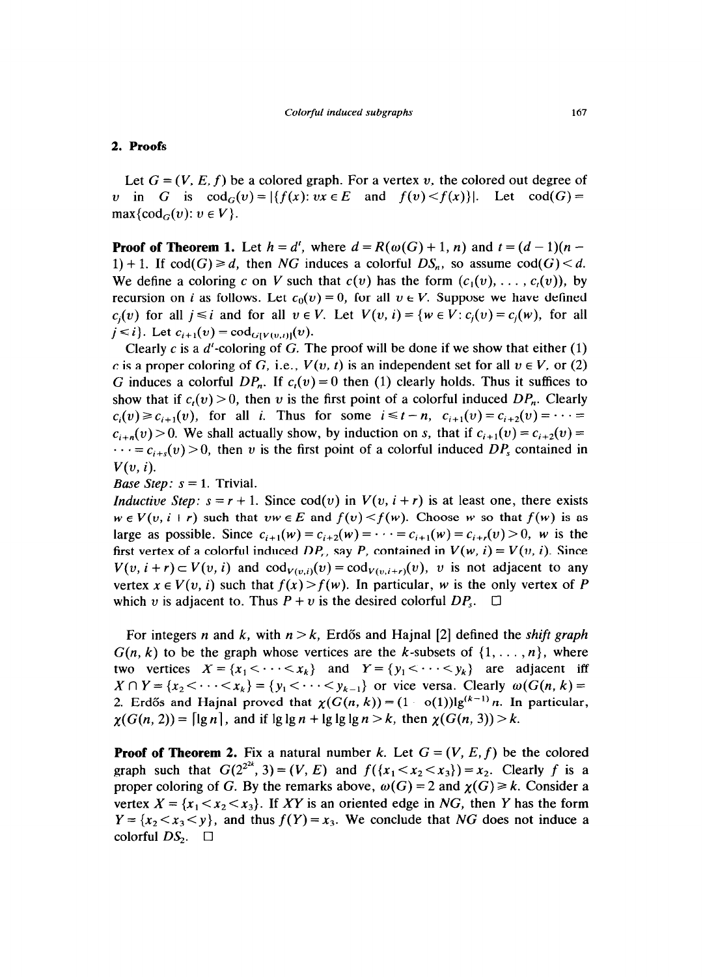## **2. Proofs**

Let  $G = (V, E, f)$  be a colored graph. For a vertex v, the colored out degree of *v* in G is  $\text{cod}_G(v) = |\{f(x): vx \in E \text{ and } f(v) \leq f(x)\}|$ . Let  $\text{cod}(G) =$  $\max\{\operatorname{cod}_G(v): v \in V\}.$ 

**Proof of Theorem 1.** Let  $h = d'$ , where  $d = R(\omega(G) + 1, n)$  and  $t = (d - 1)(n - 1)$ 1) + 1. If  $\text{cod}(G) \ge d$ , then NG induces a colorful  $DS_n$ , so assume  $\text{cod}(G) < d$ . We define a coloring c on V such that  $c(v)$  has the form  $(c_1(v), \ldots, c_i(v))$ , by recursion on i as follows. Let  $c_0(v) = 0$ , for all  $v \in V$ . Suppose we have defined  $c_i(v)$  for all  $j \le i$  and for all  $v \in V$ . Let  $V(v, i) = \{w \in V : c_i(v) = c_i(w), \text{ for all }$  $j \le i$ . Let  $c_{i+1}(v) = \text{cod}_{G[V(v,i)]}(v)$ .

Clearly c is a  $d'$ -coloring of G. The proof will be done if we show that either (1) c is a proper coloring of G, i.e.,  $V(v, t)$  is an independent set for all  $v \in V$ , or (2) G induces a colorful  $DP_n$ . If  $c<sub>t</sub>(v) = 0$  then (1) clearly holds. Thus it suffices to show that if  $c_i(v) > 0$ , then v is the first point of a colorful induced  $DP_n$ . Clearly  $c_i(v) \ge c_{i+1}(v)$ , for all *i*. Thus for some  $i \le t - n$ ,  $c_{i+1}(v) = c_{i+2}(v) = \cdots =$  $c_{i+n}(v) > 0$ . We shall actually show, by induction on s, that if  $c_{i+1}(v) = c_{i+2}(v) = 0$  $\cdots = c_{i+s}(v) > 0$ , then v is the first point of a colorful induced DP<sub>s</sub> contained in  $V(v, i)$ .

*Base Step:*  $s = 1$ . Trivial.

*Inductive Step:*  $s = r + 1$ . Since cod(v) in  $V(v, i + r)$  is at least one, there exists  $w \in V(v, i+r)$  such that  $vw \in E$  and  $f(v) < f(w)$ . Choose w so that  $f(w)$  is as large as possible. Since  $c_{i+1}(w) = c_{i+2}(w) = \cdots = c_{i+1}(w) = c_{i+r}(w) > 0$ , w is the first vertex of a colorful induced  $DP_r$ , say P, contained in  $V(w, i) = V(v, i)$ . Since  $V(v, i + r) \subset V(v, i)$  and  $\text{cod}_{V(v, i)}(v) = \text{cod}_{V(v, i+r)}(v)$ , v is not adjacent to any vertex  $x \in V(v, i)$  such that  $f(x) > f(w)$ . In particular, w is the only vertex of *P* which v is adjacent to. Thus  $P + v$  is the desired colorful  $DP_s$ .  $\Box$ 

For integers *n* and *k*, with  $n > k$ , Erdős and Hajnal [2] defined the *shift graph*  $G(n, k)$  to be the graph whose vertices are the k-subsets of  $\{1, \ldots, n\}$ , where two vertices  $X = \{x_1 < \cdots < x_k\}$  and  $Y = \{y_1 < \cdots < y_k\}$  are adjacent iff  $X \cap Y = \{x_2 < \cdots < x_k\} = \{y_1 < \cdots < y_{k-1}\}$  or vice versa. Clearly  $\omega(G(n, k)) =$ 2. Erdős and Hajnal proved that  $\chi(G(n, k)) = (1 - o(1))\lg^{(k-1)} n$ . In particular,  $\chi(G(n, 2)) = \lceil \lg n \rceil$ , and if  $\lg \lg n + \lg \lg \lg n > k$ , then  $\chi(G(n, 3)) > k$ .

**Proof of Theorem 2.** Fix a natural number *k*. Let  $G = (V, E, f)$  be the colored graph such that  $G(2^{2^{2k}}, 3) = (V, E)$  and  $f(\{x_1 < x_2 < x_3\}) = x_2$ . Clearly f is a proper coloring of G. By the remarks above,  $\omega(G) = 2$  and  $\chi(G) \ge k$ . Consider a vertex  $X = \{x_1 < x_2 < x_3\}$ . If XY is an oriented edge in NG, then Y has the form  $Y = \{x_2 < x_3 < y\}$ , and thus  $f(Y) = x_3$ . We conclude that NG does not induce a colorful  $DS$ .  $\square$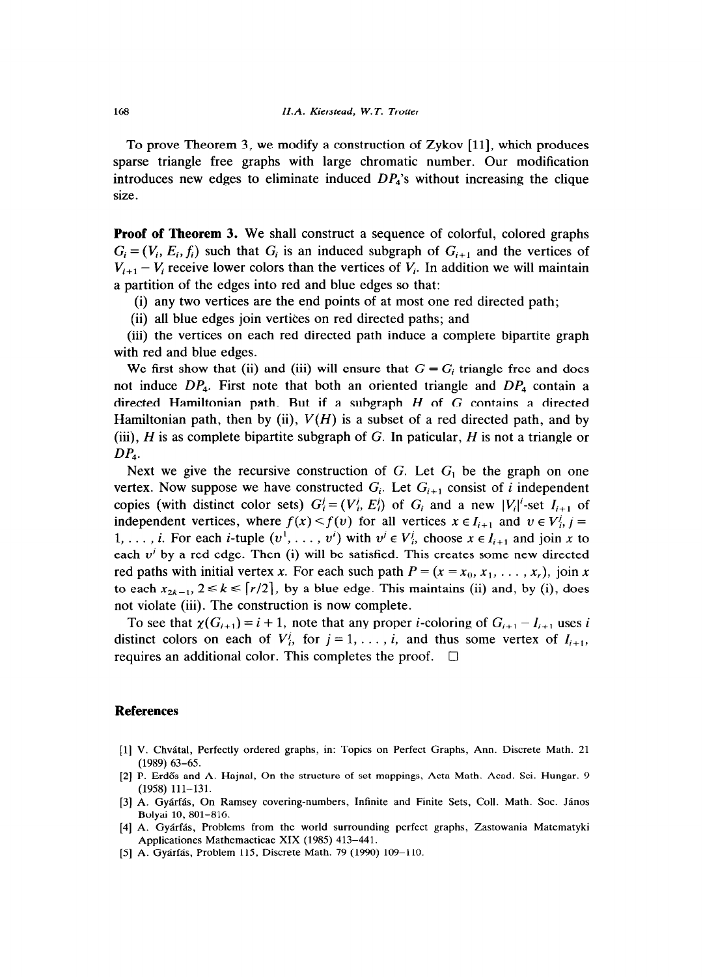To prove Theorem 3, we modify a construction of Zykov [ll], which produces sparse triangle free graphs with large chromatic number. Our modification introduces new edges to eliminate induced *DP,'s* without increasing the clique size.

**Proof of Theorem 3.** We shall construct a sequence of colorful, colored graphs  $G_i = (V_i, E_i, f_i)$  such that  $G_i$  is an induced subgraph of  $G_{i+1}$  and the vertices of  $V_{i+1} - V_i$  receive lower colors than the vertices of  $V_i$ . In addition we will maintain a partition of the edges into red and blue edges so that:

(i) any two vertices are the end points of at most one red directed path;

(ii) all blue edges join vertices on red directed paths; and

(iii) the vertices on each red directed path induce a complete bipartite graph with red and blue edges.

We first show that (ii) and (iii) will ensure that  $G = G_i$  triangle free and does not induce  $DP_4$ . First note that both an oriented triangle and  $DP_4$  contain a directed Hamiltonian path. But if a subgraph  $H$  of  $G$  contains a directed Hamiltonian path, then by (ii),  $V(H)$  is a subset of a red directed path, and by (iii), H is as complete bipartite subgraph of G. In paticular, H is not a triangle or *DP,.* 

Next we give the recursive construction of G. Let  $G_1$  be the graph on one vertex. Now suppose we have constructed  $G_i$ . Let  $G_{i+1}$  consist of i independent copies (with distinct color sets)  $G_i^j = (V_i^j, E_i^j)$  of  $G_i$  and a new  $|V_i^j$ -set  $I_{i+1}$  of independent vertices, where  $f(x) < f(v)$  for all vertices  $x \in I_{i+1}$  and  $v \in V_i^j$ ,  $j =$ 1, ..., *i.* For each *i*-tuple  $(v', \ldots, v')$  with  $v' \in V'_{i}$ , choose  $x \in I_{i+1}$  and join x to each  $v<sup>i</sup>$  by a red edge. Then (i) will be satisfied. This creates some new directed red paths with initial vertex x. For each such path  $P = (x = x_0, x_1, \ldots, x_r)$ , join x to each  $x_{2k-1}$ ,  $2 \le k \le \lceil r/2 \rceil$ , by a blue edge. This maintains (ii) and, by (i), does not violate (iii). The construction is now complete.

To see that  $\chi(G_{i+1}) = i + 1$ , note that any proper *i*-coloring of  $G_{i+1} - I_{i+1}$  uses *i* distinct colors on each of  $V_i^j$ , for  $j = 1, \ldots, i$ , and thus some vertex of  $I_{i+1}$ , requires an additional color. This completes the proof.  $\square$ 

## **References**

- [l] V. Chvatal, Perfectly ordered graphs, in: Topics on Perfect Graphs, Ann. Discrete Math. 21  $(1989)$  63-65.
- [2] P. Erdős and A. Hajnal, On the structure of set mappings, Acta Math. Acad. Sci. Hungar. 9 (1958) 111-131.
- [3] A. Gyárfás, On Ramsey covering-numbers, Infinite and Finite Sets, Coll. Math. Soc. János Bolyai 10, 801-816.
- [4] A. Gyarfas, Problems from the world surrounding perfect graphs, Zastowania Matematyki Applicationes Mathemacticae XIX (1985) 413-441.
- [5] A. Gyárfás, Problem 115, Discrete Math. 79 (1990) 109-110.